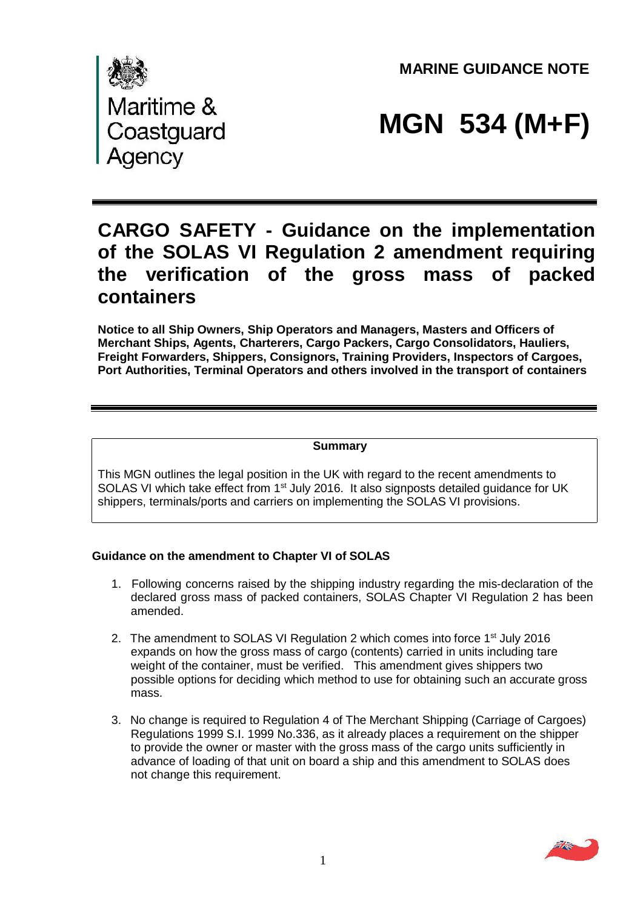**MARINE GUIDANCE NOTE** 



# **MGN 534 (M+F)**

# **CARGO SAFETY - Guidance on the implementation of the SOLAS VI Regulation 2 amendment requiring the verification of the gross mass of packed containers**

**Notice to all Ship Owners, Ship Operators and Managers, Masters and Officers of Merchant Ships, Agents, Charterers, Cargo Packers, Cargo Consolidators, Hauliers, Freight Forwarders, Shippers, Consignors, Training Providers, Inspectors of Cargoes, Port Authorities, Terminal Operators and others involved in the transport of containers** 

#### **Summary**

This MGN outlines the legal position in the UK with regard to the recent amendments to SOLAS VI which take effect from 1<sup>st</sup> July 2016. It also signposts detailed guidance for UK shippers, terminals/ports and carriers on implementing the SOLAS VI provisions.

# **Guidance on the amendment to Chapter VI of SOLAS**

- 1. Following concerns raised by the shipping industry regarding the mis-declaration of the declared gross mass of packed containers, SOLAS Chapter VI Regulation 2 has been amended.
- 2. The amendment to SOLAS VI Regulation 2 which comes into force 1<sup>st</sup> July 2016 expands on how the gross mass of cargo (contents) carried in units including tare weight of the container, must be verified. This amendment gives shippers two possible options for deciding which method to use for obtaining such an accurate gross mass.
- 3. No change is required to Regulation 4 of The Merchant Shipping (Carriage of Cargoes) Regulations 1999 S.I. 1999 No.336, as it already places a requirement on the shipper to provide the owner or master with the gross mass of the cargo units sufficiently in advance of loading of that unit on board a ship and this amendment to SOLAS does not change this requirement.

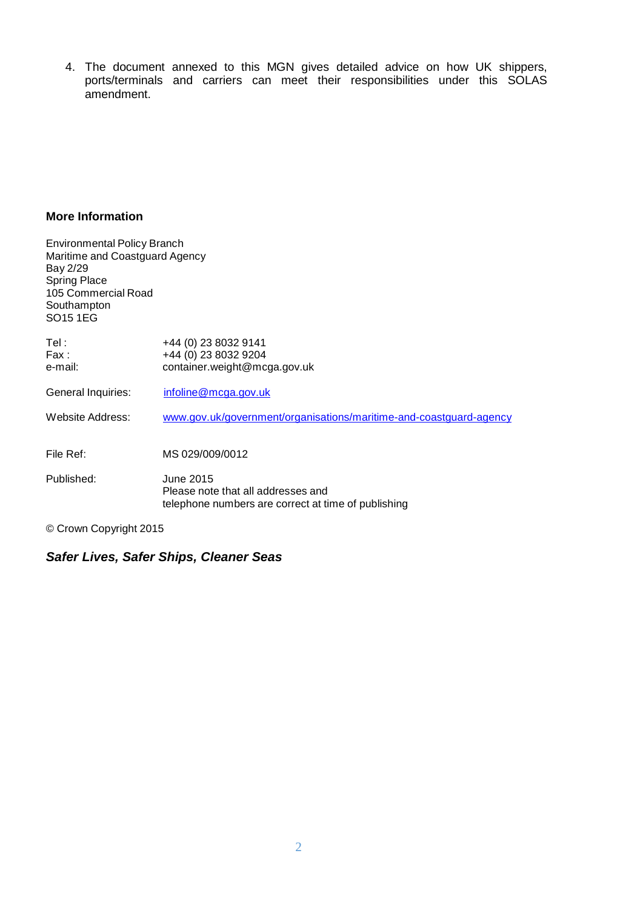4. The document annexed to this MGN gives detailed advice on how UK shippers, ports/terminals and carriers can meet their responsibilities under this SOLAS amendment.

#### **More Information**

| <b>Environmental Policy Branch</b><br>Maritime and Coastguard Agency<br>Bay 2/29<br><b>Spring Place</b><br>105 Commercial Road<br>Southampton<br>SO <sub>15</sub> 1EG |                                                                                                        |
|-----------------------------------------------------------------------------------------------------------------------------------------------------------------------|--------------------------------------------------------------------------------------------------------|
| Tel :                                                                                                                                                                 | +44 (0) 23 8032 9141                                                                                   |
| Fax:                                                                                                                                                                  | +44 (0) 23 8032 9204                                                                                   |
| e-mail:                                                                                                                                                               | container.weight@mcga.gov.uk                                                                           |
| General Inquiries:                                                                                                                                                    | infoline@mcga.gov.uk                                                                                   |
| Website Address:                                                                                                                                                      | www.gov.uk/government/organisations/maritime-and-coastguard-agency                                     |
|                                                                                                                                                                       |                                                                                                        |
| File Ref:                                                                                                                                                             | MS 029/009/0012                                                                                        |
| Published:                                                                                                                                                            | June 2015<br>Please note that all addresses and<br>telephone numbers are correct at time of publishing |

© Crown Copyright 2015

# *Safer Lives, Safer Ships, Cleaner Seas*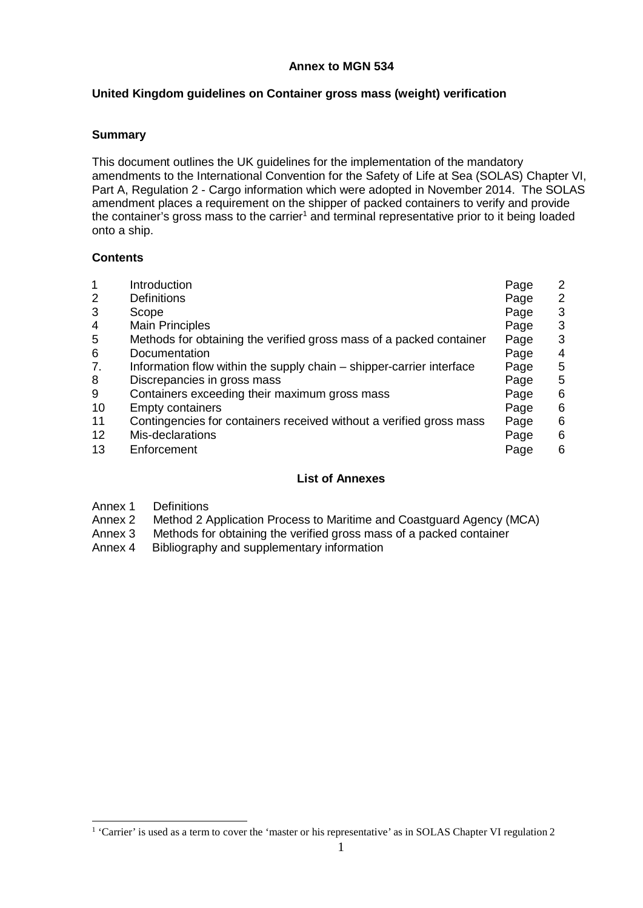#### **Annex to MGN 534**

#### **United Kingdom guidelines on Container gross mass (weight) verification**

#### **Summary**

This document outlines the UK guidelines for the implementation of the mandatory amendments to the International Convention for the Safety of Life at Sea (SOLAS) Chapter VI, Part A, Regulation 2 - Cargo information which were adopted in November 2014. The SOLAS amendment places a requirement on the shipper of packed containers to verify and provide the container's gross mass to the carrier<sup>1</sup> and terminal representative prior to it being loaded onto a ship.

#### **Contents**

| 1<br>$\overline{2}$<br>3<br>4<br>5<br>6<br>7.<br>8<br>9<br>10<br>11<br>12 | Introduction<br><b>Definitions</b><br>Scope<br><b>Main Principles</b><br>Methods for obtaining the verified gross mass of a packed container<br>Documentation<br>Information flow within the supply chain – shipper-carrier interface<br>Discrepancies in gross mass<br>Containers exceeding their maximum gross mass<br><b>Empty containers</b><br>Contingencies for containers received without a verified gross mass<br>Mis-declarations | Page<br>Page<br>Page<br>Page<br>Page<br>Page<br>Page<br>Page<br>Page<br>Page<br>Page<br>Page | $\mathbf{2}^{\prime}$<br>$\overline{2}$<br>3<br>3<br>3<br>4<br>5<br>5<br>6<br>6<br>6<br>6 |
|---------------------------------------------------------------------------|---------------------------------------------------------------------------------------------------------------------------------------------------------------------------------------------------------------------------------------------------------------------------------------------------------------------------------------------------------------------------------------------------------------------------------------------|----------------------------------------------------------------------------------------------|-------------------------------------------------------------------------------------------|
|                                                                           |                                                                                                                                                                                                                                                                                                                                                                                                                                             |                                                                                              |                                                                                           |
| 13                                                                        | Enforcement                                                                                                                                                                                                                                                                                                                                                                                                                                 | Page                                                                                         | 6                                                                                         |

#### **List of Annexes**

- 
- Annex 1 Definitions<br>Annex 2 Method 2 A Method 2 Application Process to Maritime and Coastguard Agency (MCA)
- Annex 3 Methods for obtaining the verified gross mass of a packed container
- Annex 4 Bibliography and supplementary information

<sup>&</sup>lt;sup>1</sup> 'Carrier' is used as a term to cover the 'master or his representative' [as in SOLAS Chapter VI regulation 2](#page-3-0)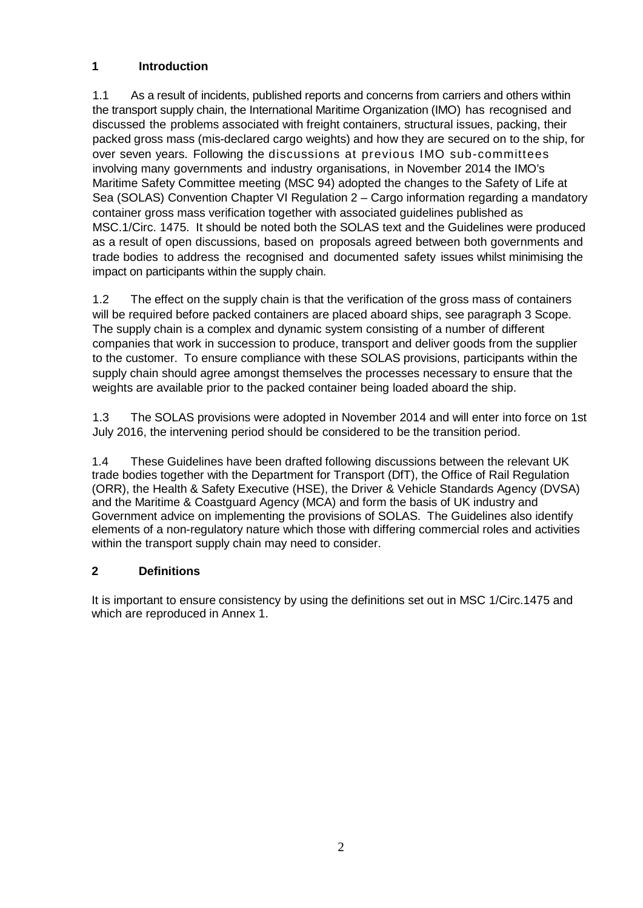# <span id="page-3-0"></span>**1 Introduction**

1.1 As a result of incidents, published reports and concerns from carriers and others within the transport supply chain, the International Maritime Organization (IMO) has recognised and discussed the problems associated with freight containers, structural issues, packing, their packed gross mass (mis-declared cargo weights) and how they are secured on to the ship, for over seven years. Following the discussions at previous IMO sub-committees involving many governments and industry organisations, in November 2014 the IMO's Maritime Safety Committee meeting (MSC 94) adopted the changes to the Safety of Life at Sea (SOLAS) Convention Chapter VI Regulation 2 – Cargo information regarding a mandatory container gross mass verification together with associated guidelines published as MSC.1/Circ. 1475. It should be noted both the SOLAS text and the Guidelines were produced as a result of open discussions, based on proposals agreed between both governments and trade bodies to address the recognised and documented safety issues whilst minimising the impact on participants within the supply chain.

1.2 The effect on the supply chain is that the verification of the gross mass of containers will be required before packed containers are placed aboard ships, see paragraph 3 Scope. The supply chain is a complex and dynamic system consisting of a number of different companies that work in succession to produce, transport and deliver goods from the supplier to the customer. To ensure compliance with these SOLAS provisions, participants within the supply chain should agree amongst themselves the processes necessary to ensure that the weights are available prior to the packed container being loaded aboard the ship.

1.3 The SOLAS provisions were adopted in November 2014 and will enter into force on 1st July 2016, the intervening period should be considered to be the transition period.

1.4 These Guidelines have been drafted following discussions between the relevant UK trade bodies together with the Department for Transport (DfT), the Office of Rail Regulation (ORR), the Health & Safety Executive (HSE), the Driver & Vehicle Standards Agency (DVSA) and the Maritime & Coastguard Agency (MCA) and form the basis of UK industry and Government advice on implementing the provisions of SOLAS. The Guidelines also identify elements of a non-regulatory nature which those with differing commercial roles and activities within the transport supply chain may need to consider.

# **2 Definitions**

It is important to ensure consistency by using the definitions set out in MSC 1/Circ.1475 and which are reproduced in Annex 1.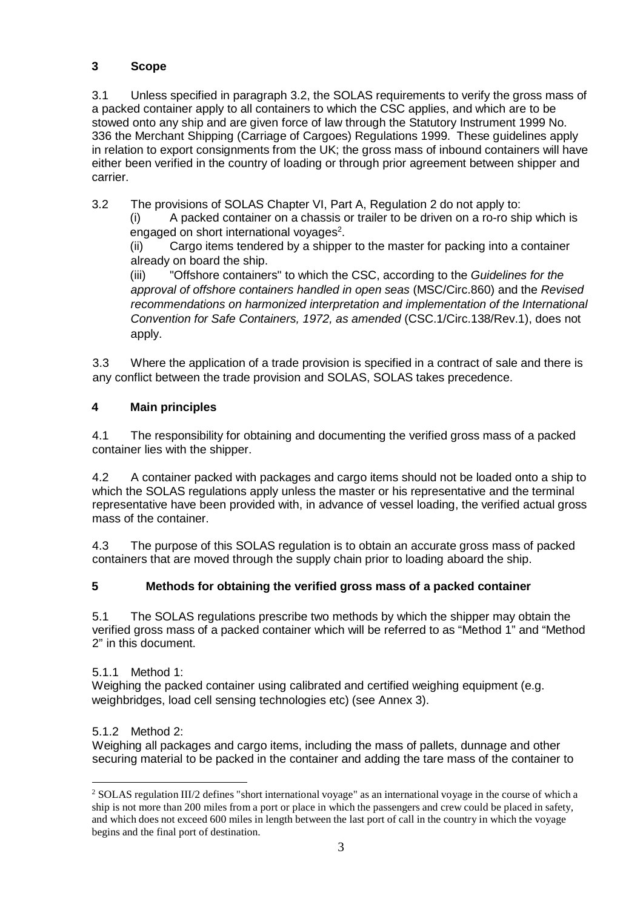# <span id="page-4-0"></span>**3 Scope**

3.1 Unless specified in paragraph 3.2, the SOLAS requirements to verify the gross mass of a packed container apply to all containers to which the CSC applies, and which are to be stowed onto any ship and are given force of law through the Statutory Instrument 1999 No. 336 the Merchant Shipping (Carriage of Cargoes) Regulations 1999. These guidelines apply in relation to export consignments from the UK; the gross mass of inbound containers will have either been verified in the country of loading or through prior agreement between shipper and carrier.

3.2 The provisions of SOLAS Chapter VI, Part A, Regulation 2 do not apply to:

(i) A packed container on a chassis or trailer to be driven on a ro-ro ship which is engaged on short international voyages<sup>2</sup>.

(ii) Cargo items tendered by a shipper to the master for packing into a container already on board the ship.

 *approval of offshore containers handled in open seas* (MSC/Circ.860) and the *Revised Convention for Safe Containers, 1972, as amended* (CSC.1/Circ.138/Rev.1), does not (iii) "Offshore containers" to which the CSC, according to the *Guidelines for the recommendations on harmonized interpretation and implementation of the International*  apply.

3.3 Where the application of a trade provision is specified in a contract of sale and there is any conflict between the trade provision and SOLAS, SOLAS takes precedence.

# **4 Main principles**

4.1 The responsibility for obtaining and documenting the verified gross mass of a packed container lies with the shipper.

 which the SOLAS regulations apply unless the master or his representative and the terminal 4.2 A container packed with packages and cargo items should not be loaded onto a ship to representative have been provided with, in advance of vessel loading, the verified actual gross mass of the container.

4.3 The purpose of this SOLAS regulation is to obtain an accurate gross mass of packed containers that are moved through the supply chain prior to loading aboard the ship.

# **5 Methods for obtaining the verified gross mass of a packed container**

5.1 The SOLAS regulations prescribe two methods by which the shipper may obtain the verified gross mass of a packed container which will be referred to as "Method 1" and "Method 2" in this document.

# 5.1.1 Method 1:

Weighing the packed container using calibrated and certified weighing equipment (e.g. weighbridges, load cell sensing technologies etc) (see Annex 3).

# 5.1.2 Method 2:

Weighing all packages and cargo items, including the mass of pallets, dunnage and other securing material to be packed in the container and adding the tare mass of the container to

<sup>&</sup>lt;sup>2</sup> SOLAS regulation III/2 defines "short international voyage" as an international voyage in the course of which a ship is not more than 200 miles from a port or place in which the passengers and crew could be placed in safety, and which does not exceed 600 miles in length between the last port of call in the country in which the voyage begins and the final port of destination.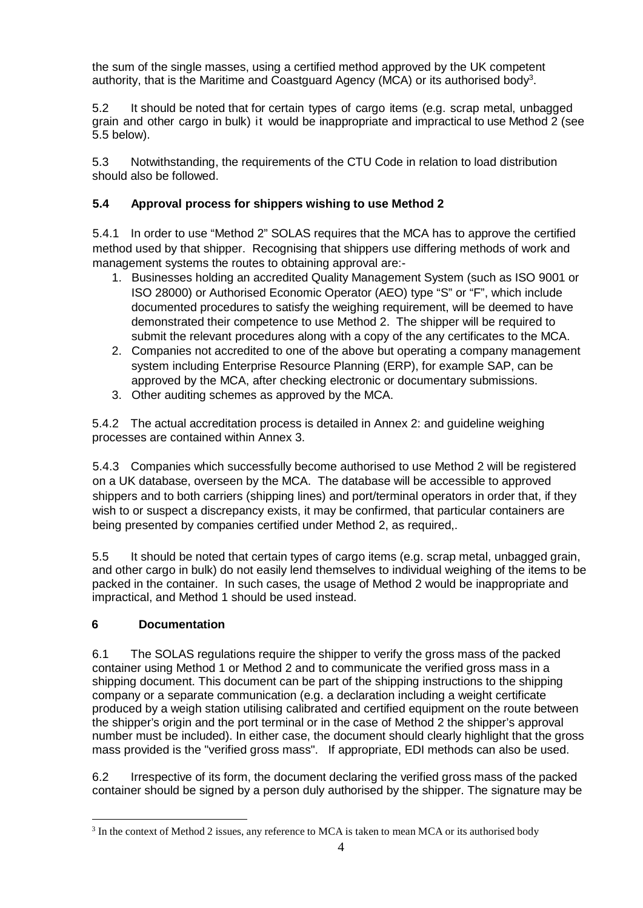<span id="page-5-0"></span>the sum of the single masses, using a certified method approved by the UK competent authority, that is the Maritime and Coastguard Agency (MCA) or its authorised body<sup>3</sup>.

5.2 It should be noted that for certain types of cargo items (e.g. scrap metal, unbagged grain and other cargo in bulk) it would be inappropriate and impractical to use Method 2 (see 5.5 below).

5.3 Notwithstanding, the requirements of the CTU Code in relation to load distribution should also be followed.

# **5.4 Approval process for shippers wishing to use Method 2**

5.4.1 In order to use "Method 2" SOLAS requires that the MCA has to approve the certified method used by that shipper. Recognising that shippers use differing methods of work and management systems the routes to obtaining approval are:-

- 1. Businesses holding an accredited Quality Management System (such as ISO 9001 or ISO 28000) or Authorised Economic Operator (AEO) type "S" or "F", which include documented procedures to satisfy the weighing requirement, will be deemed to have demonstrated their competence to use Method 2. The shipper will be required to submit the relevant procedures along with a copy of the any certificates to the MCA.
- 2. Companies not accredited to one of the above but operating a company management system including Enterprise Resource Planning (ERP), for example SAP, can be approved by the MCA, after checking electronic or documentary submissions.
- 3. Other auditing schemes as approved by the MCA.

5.4.2 The actual accreditation process is detailed in Annex 2: and guideline weighing processes are contained within Annex 3.

5.4.3 Companies which successfully become authorised to use Method 2 will be registered on a UK database, overseen by the MCA. The database will be accessible to approved shippers and to both carriers (shipping lines) and port/terminal operators in order that, if they wish to or suspect a discrepancy exists, it may be confirmed, that particular containers are being presented by companies certified under Method 2, as required,.

5.5 It should be noted that certain types of cargo items (e.g. scrap metal, unbagged grain, and other cargo in bulk) do not easily lend themselves to individual weighing of the items to be packed in the container. In such cases, the usage of Method 2 would be inappropriate and impractical, and Method 1 should be used instead.

# **6 Documentation**

6.1 The SOLAS regulations require the shipper to verify the gross mass of the packed container using Method 1 or Method 2 and to communicate the verified gross mass in a shipping document. This document can be part of the shipping instructions to the shipping company or a separate communication (e.g. a declaration including a weight certificate produced by a weigh station utilising calibrated and certified equipment on the route between the shipper's origin and the port terminal or in the case of Method 2 the shipper's approval number must be included). In either case, the document should clearly highlight that the gross mass provided is the "verified gross mass". If appropriate, EDI methods can also be used.

6.2 Irrespective of its form, the document declaring the verified gross mass of the packed container should be signed by a person duly authorised by the shipper. The signature may be

<sup>&</sup>lt;sup>3</sup> In the context of Method 2 issues, any reference to MCA is taken to mean MCA or its authorised body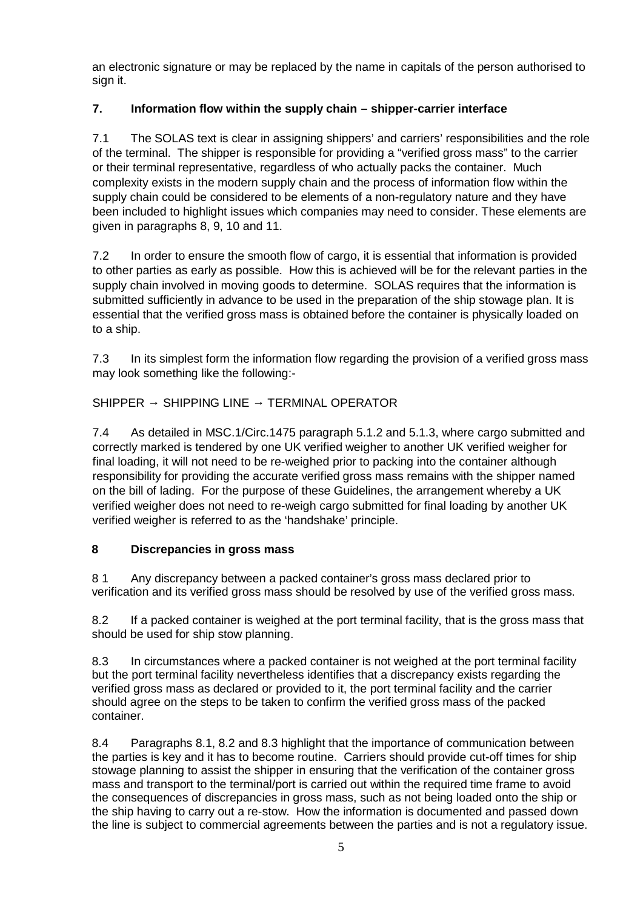<span id="page-6-0"></span>an electronic signature or may be replaced by the name in capitals of the person authorised to sign it.

# **7. Information flow within the supply chain – shipper-carrier interface**

7.1 The SOLAS text is clear in assigning shippers' and carriers' responsibilities and the role of the terminal. The shipper is responsible for providing a "verified gross mass" to the carrier or their terminal representative, regardless of who actually packs the container. Much complexity exists in the modern supply chain and the process of information flow within the supply chain could be considered to be elements of a non-regulatory nature and they have been included to highlight issues which companies may need to consider. These elements are given in paragraphs 8, 9, 10 and 11.

7.2 In order to ensure the smooth flow of cargo, it is essential that information is provided to other parties as early as possible. How this is achieved will be for the relevant parties in the supply chain involved in moving goods to determine. SOLAS requires that the information is submitted sufficiently in advance to be used in the preparation of the ship stowage plan. It is essential that the verified gross mass is obtained before the container is physically loaded on to a ship.

7.3 In its simplest form the information flow regarding the provision of a verified gross mass may look something like the following:-

# SHIPPER SHIPPING LINE TERMINAL OPERATOR

7.4 As detailed in MSC.1/Circ.1475 paragraph 5.1.2 and 5.1.3, where cargo submitted and correctly marked is tendered by one UK verified weigher to another UK verified weigher for final loading, it will not need to be re-weighed prior to packing into the container although responsibility for providing the accurate verified gross mass remains with the shipper named on the bill of lading. For the purpose of these Guidelines, the arrangement whereby a UK verified weigher does not need to re-weigh cargo submitted for final loading by another UK verified weigher is referred to as the 'handshake' principle.

# **8 Discrepancies in gross mass**

8 1 Any discrepancy between a packed container's gross mass declared prior to verification and its verified gross mass should be resolved by use of the verified gross mass.

8.2 If a packed container is weighed at the port terminal facility, that is the gross mass that should be used for ship stow planning.

8.3 In circumstances where a packed container is not weighed at the port terminal facility but the port terminal facility nevertheless identifies that a discrepancy exists regarding the verified gross mass as declared or provided to it, the port terminal facility and the carrier should agree on the steps to be taken to confirm the verified gross mass of the packed container.

8.4 Paragraphs 8.1, 8.2 and 8.3 highlight that the importance of communication between the parties is key and it has to become routine. Carriers should provide cut-off times for ship stowage planning to assist the shipper in ensuring that the verification of the container gross mass and transport to the terminal/port is carried out within the required time frame to avoid the consequences of discrepancies in gross mass, such as not being loaded onto the ship or the ship having to carry out a re-stow. How the information is documented and passed down the line is subject to commercial agreements between the parties and is not a regulatory issue.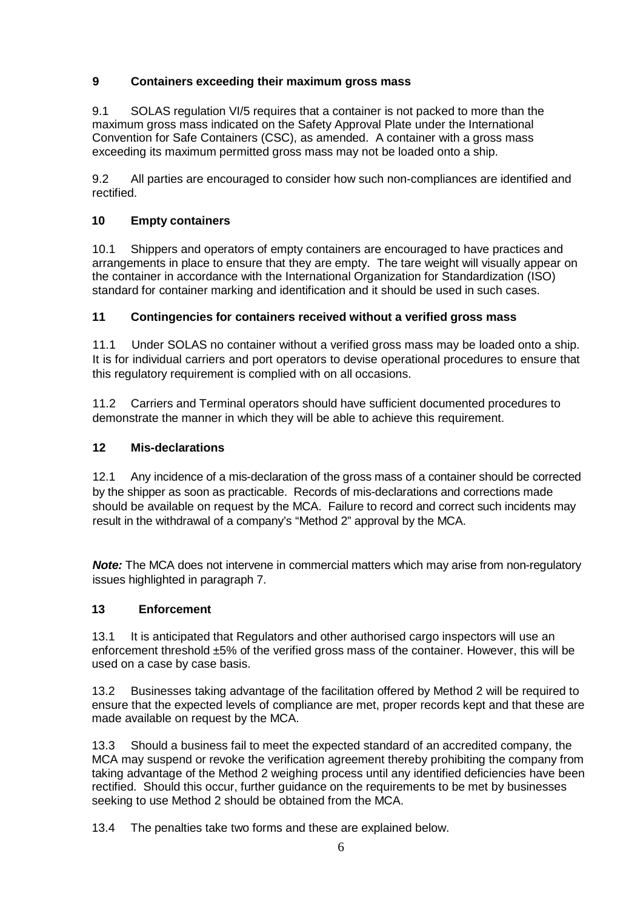# <span id="page-7-0"></span>**9 Containers exceeding their maximum gross mass**

9.1 SOLAS regulation VI/5 requires that a container is not packed to more than the maximum gross mass indicated on the Safety Approval Plate under the International Convention for Safe Containers (CSC), as amended. A container with a gross mass exceeding its maximum permitted gross mass may not be loaded onto a ship.

9.2 All parties are encouraged to consider how such non-compliances are identified and rectified.

# **10 Empty containers**

10.1 Shippers and operators of empty containers are encouraged to have practices and arrangements in place to ensure that they are empty. The tare weight will visually appear on the container in accordance with the International Organization for Standardization (ISO) standard for container marking and identification and it should be used in such cases.

# **11 Contingencies for containers received without a verified gross mass**

11.1 Under SOLAS no container without a verified gross mass may be loaded onto a ship. It is for individual carriers and port operators to devise operational procedures to ensure that this regulatory requirement is complied with on all occasions.

11.2 Carriers and Terminal operators should have sufficient documented procedures to demonstrate the manner in which they will be able to achieve this requirement.

#### **12 Mis-declarations**

12.1 Any incidence of a mis-declaration of the gross mass of a container should be corrected by the shipper as soon as practicable. Records of mis-declarations and corrections made should be available on request by the MCA. Failure to record and correct such incidents may result in the withdrawal of a company's "Method 2" approval by the MCA.

*Note:* The MCA does not intervene in commercial matters which may arise from non-regulatory issues highlighted in paragraph 7.

# **13 Enforcement**

13.1 It is anticipated that Regulators and other authorised cargo inspectors will use an enforcement threshold ±5% of the verified gross mass of the container. However, this will be used on a case by case basis.

13.2 Businesses taking advantage of the facilitation offered by Method 2 will be required to ensure that the expected levels of compliance are met, proper records kept and that these are made available on request by the MCA.

13.3 Should a business fail to meet the expected standard of an accredited company, the MCA may suspend or revoke the verification agreement thereby prohibiting the company from taking advantage of the Method 2 weighing process until any identified deficiencies have been rectified. Should this occur, further guidance on the requirements to be met by businesses seeking to use Method 2 should be obtained from the MCA.

13.4 The penalties take two forms and these are explained below.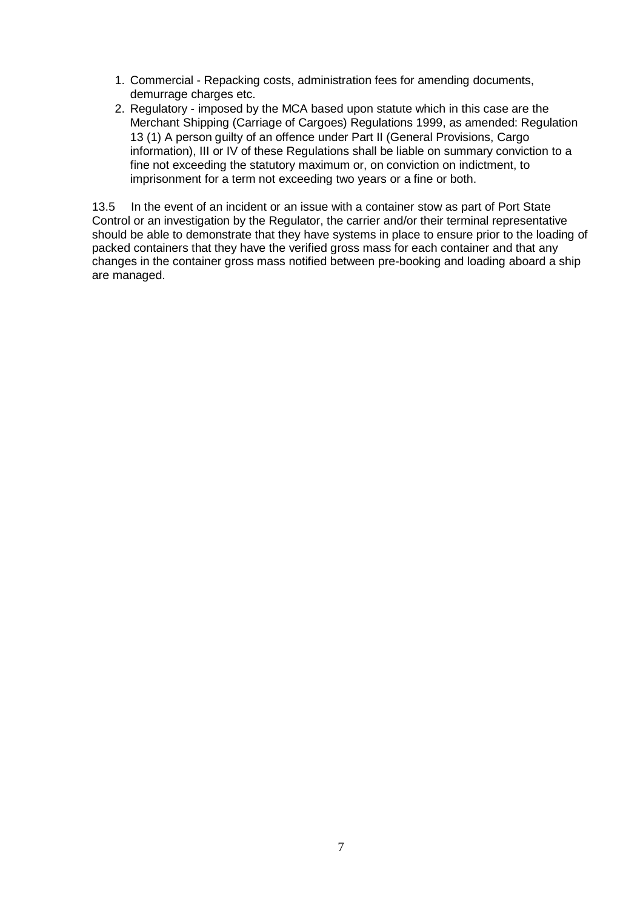- 1. Commercial Repacking costs, administration fees for amending documents, demurrage charges etc.
- 2. Regulatory imposed by the MCA based upon statute which in this case are the Merchant Shipping (Carriage of Cargoes) Regulations 1999, as amended: Regulation 13 (1) A person guilty of an offence under Part II (General Provisions, Cargo information), III or IV of these Regulations shall be liable on summary conviction to a fine not exceeding the statutory maximum or, on conviction on indictment, to imprisonment for a term not exceeding two years or a fine or both.

 Control or an investigation by the Regulator, the carrier and/or their terminal representative 13.5 In the event of an incident or an issue with a container stow as part of Port State should be able to demonstrate that they have systems in place to ensure prior to the loading of packed containers that they have the verified gross mass for each container and that any changes in the container gross mass notified between pre-booking and loading aboard a ship are managed.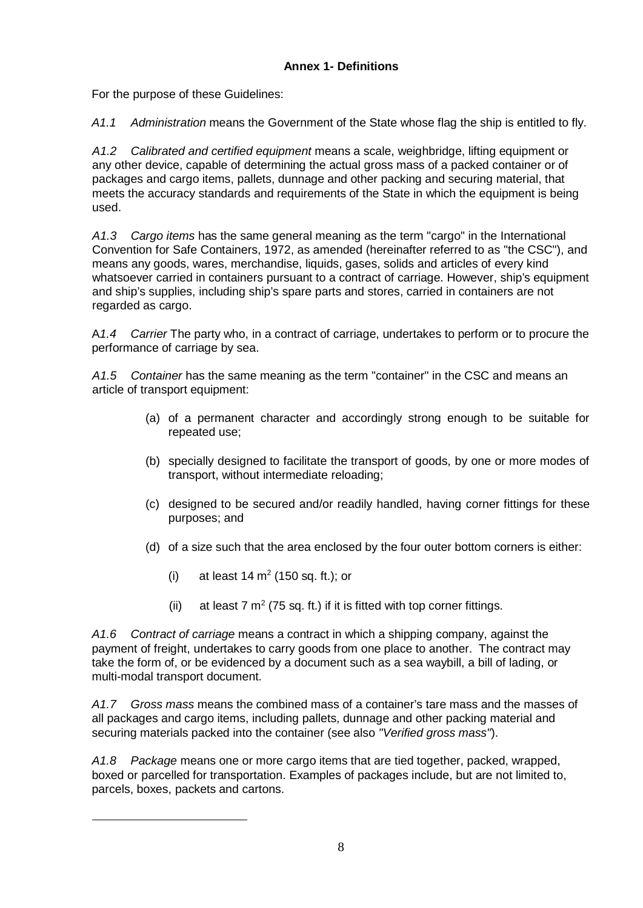# **Annex 1- Definitions**

For the purpose of these Guidelines:

*A1.1 Administration* means the Government of the State whose flag the ship is entitled to fly.

*A1.2 Calibrated and certified equipment* means a scale, weighbridge, lifting equipment or any other device, capable of determining the actual gross mass of a packed container or of packages and cargo items, pallets, dunnage and other packing and securing material, that meets the accuracy standards and requirements of the State in which the equipment is being used.

 Convention for Safe Containers, 1972, as amended (hereinafter referred to as "the CSC"), and means any goods, wares, merchandise, liquids, gases, solids and articles of every kind *A1.3 Cargo items* has the same general meaning as the term "cargo" in the International whatsoever carried in containers pursuant to a contract of carriage. However, ship's equipment and ship's supplies, including ship's spare parts and stores, carried in containers are not regarded as cargo.

A*1.4 Carrier* The party who, in a contract of carriage, undertakes to perform or to procure the performance of carriage by sea.

*A1.5 Container* has the same meaning as the term "container" in the CSC and means an article of transport equipment:

- (a) of a permanent character and accordingly strong enough to be suitable for repeated use;
- (b) specially designed to facilitate the transport of goods, by one or more modes of transport, without intermediate reloading;
- (c) designed to be secured and/or readily handled, having corner fittings for these purposes; and
- (d) of a size such that the area enclosed by the four outer bottom corners is either:
	- (i) at least  $14 \text{ m}^2$  (150 sq. ft.); or
	- (ii) at least 7  $m^2$  (75 sq. ft.) if it is fitted with top corner fittings.

*A1.6 Contract of carriage* means a contract in which a shipping company, against the payment of freight, undertakes to carry goods from one place to another. The contract may take the form of, or be evidenced by a document such as a sea waybill, a bill of lading, or multi-modal transport document.

*A1.7 Gross mass* means the combined mass of a container's tare mass and the masses of all packages and cargo items, including pallets, dunnage and other packing material and securing materials packed into the container (see also *"Verified gross mass"*).

*A1.8 Package* means one or more cargo items that are tied together, packed, wrapped, boxed or parcelled for transportation. Examples of packages include, but are not limited to, parcels, boxes, packets and cartons.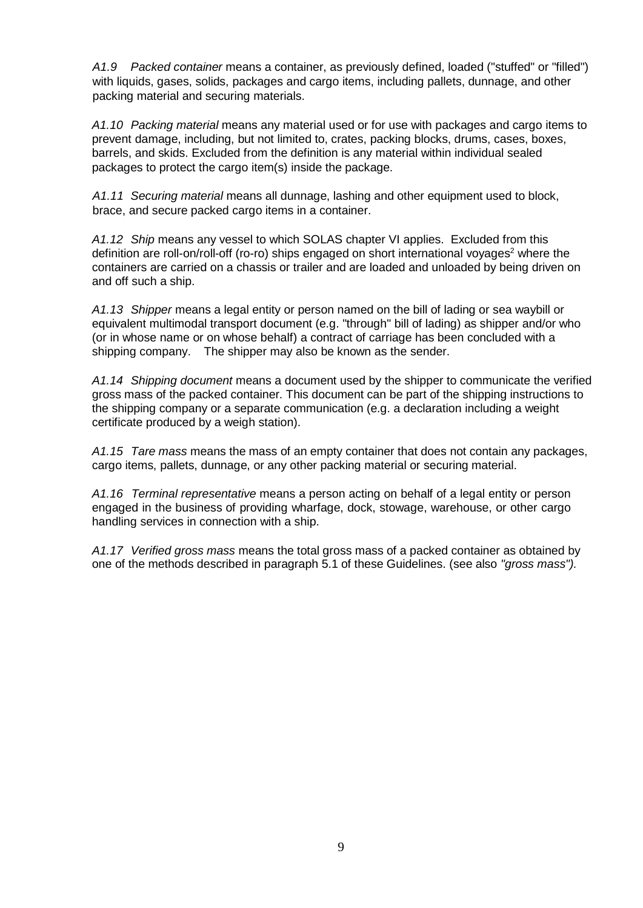*A1.9 Packed container* means a container, as previously defined, loaded ("stuffed" or "filled") with liquids, gases, solids, packages and cargo items, including pallets, dunnage, and other packing material and securing materials.

*A1.10 Packing material* means any material used or for use with packages and cargo items to prevent damage, including, but not limited to, crates, packing blocks, drums, cases, boxes, barrels, and skids. Excluded from the definition is any material within individual sealed packages to protect the cargo item(s) inside the package.

*A1.11 Securing material* means all dunnage, lashing and other equipment used to block, brace, and secure packed cargo items in a container.

*A1.12 Ship* means any vessel to which SOLAS chapter VI applies. Excluded from this definition are roll-on/roll-off (ro-ro) ships engaged on short international voyages<sup>2</sup> where the containers are carried on a chassis or trailer and are loaded and unloaded by being driven on and off such a ship.

*A1.13 Shipper* means a legal entity or person named on the bill of lading or sea waybill or equivalent multimodal transport document (e.g. "through" bill of lading) as shipper and/or who (or in whose name or on whose behalf) a contract of carriage has been concluded with a shipping company. The shipper may also be known as the sender.

*A1.14 Shipping document* means a document used by the shipper to communicate the verified gross mass of the packed container. This document can be part of the shipping instructions to the shipping company or a separate communication (e.g. a declaration including a weight certificate produced by a weigh station).

*A1.15 Tare mass* means the mass of an empty container that does not contain any packages, cargo items, pallets, dunnage, or any other packing material or securing material.

*A1.16 Terminal representative* means a person acting on behalf of a legal entity or person engaged in the business of providing wharfage, dock, stowage, warehouse, or other cargo handling services in connection with a ship.

*A1.17 Verified gross mass* means the total gross mass of a packed container as obtained by one of the methods described in paragraph 5.1 of these Guidelines. (see also *"gross mass").*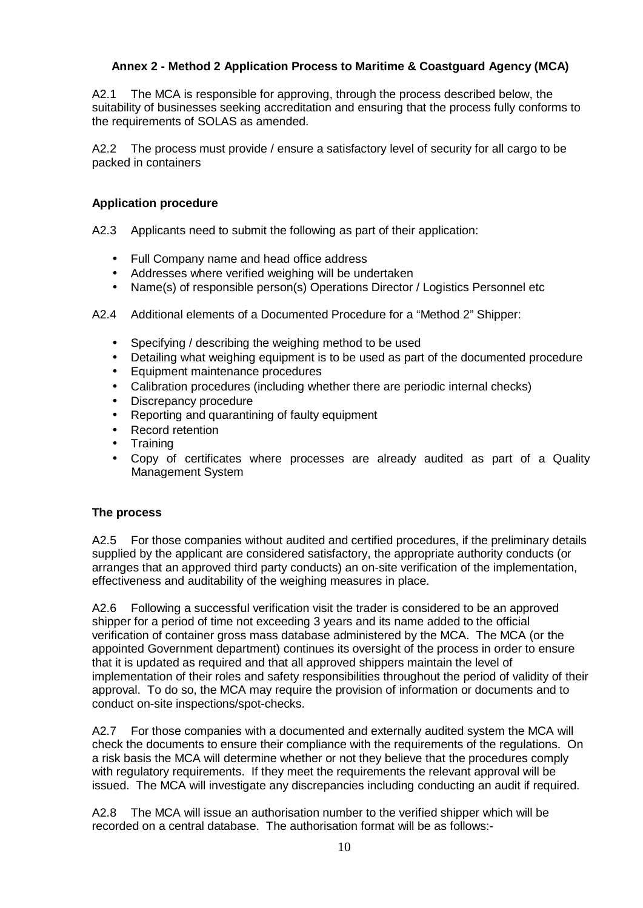# **Annex 2 - Method 2 Application Process to Maritime & Coastguard Agency (MCA)**

A2.1 The MCA is responsible for approving, through the process described below, the suitability of businesses seeking accreditation and ensuring that the process fully conforms to the requirements of SOLAS as amended.

A2.2 The process must provide / ensure a satisfactory level of security for all cargo to be packed in containers

#### **Application procedure**

A2.3 Applicants need to submit the following as part of their application:

- Full Company name and head office address
- Addresses where verified weighing will be undertaken
- Name(s) of responsible person(s) Operations Director / Logistics Personnel etc
- A2.4 Additional elements of a Documented Procedure for a "Method 2" Shipper:
	- Specifying / describing the weighing method to be used
	- Detailing what weighing equipment is to be used as part of the documented procedure
	- Equipment maintenance procedures
	- Calibration procedures (including whether there are periodic internal checks)
	- Discrepancy procedure
	- Reporting and quarantining of faulty equipment
	- Record retention
	- Training
	- Copy of certificates where processes are already audited as part of a Quality Management System

#### **The process**

A2.5 For those companies without audited and certified procedures, if the preliminary details supplied by the applicant are considered satisfactory, the appropriate authority conducts (or arranges that an approved third party conducts) an on-site verification of the implementation, effectiveness and auditability of the weighing measures in place.

A2.6 Following a successful verification visit the trader is considered to be an approved shipper for a period of time not exceeding 3 years and its name added to the official verification of container gross mass database administered by the MCA. The MCA (or the appointed Government department) continues its oversight of the process in order to ensure that it is updated as required and that all approved shippers maintain the level of implementation of their roles and safety responsibilities throughout the period of validity of their approval. To do so, the MCA may require the provision of information or documents and to conduct on-site inspections/spot-checks.

A2.7 For those companies with a documented and externally audited system the MCA will check the documents to ensure their compliance with the requirements of the regulations. On a risk basis the MCA will determine whether or not they believe that the procedures comply with regulatory requirements. If they meet the requirements the relevant approval will be issued. The MCA will investigate any discrepancies including conducting an audit if required.

A2.8 The MCA will issue an authorisation number to the verified shipper which will be recorded on a central database. The authorisation format will be as follows:-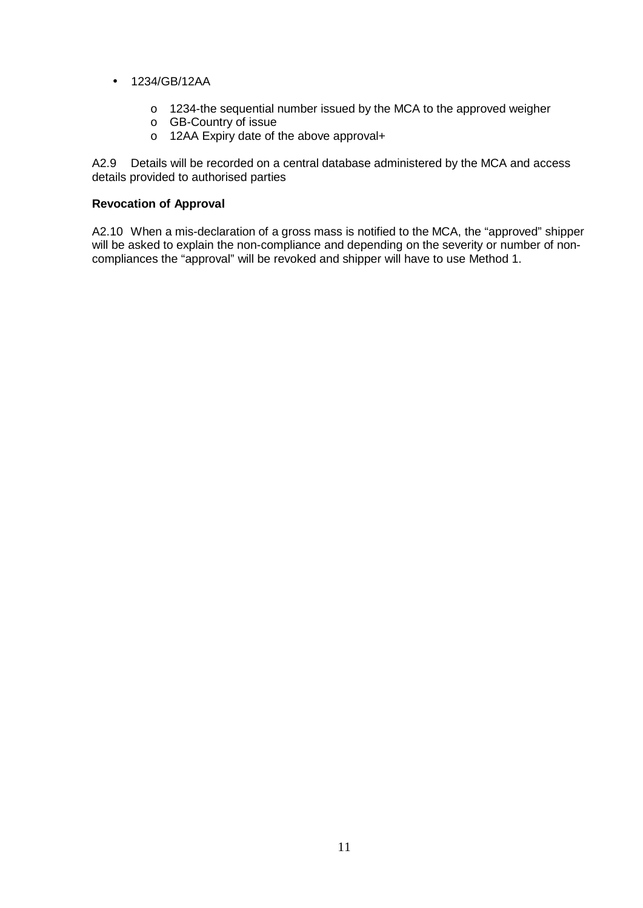- 1234/GB/12AA
	- o 1234-the sequential number issued by the MCA to the approved weigher
	- o GB-Country of issue
	- o 12AA Expiry date of the above approval+

A2.9 Details will be recorded on a central database administered by the MCA and access details provided to authorised parties

#### **Revocation of Approval**

A2.10 When a mis-declaration of a gross mass is notified to the MCA, the "approved" shipper will be asked to explain the non-compliance and depending on the severity or number of noncompliances the "approval" will be revoked and shipper will have to use Method 1.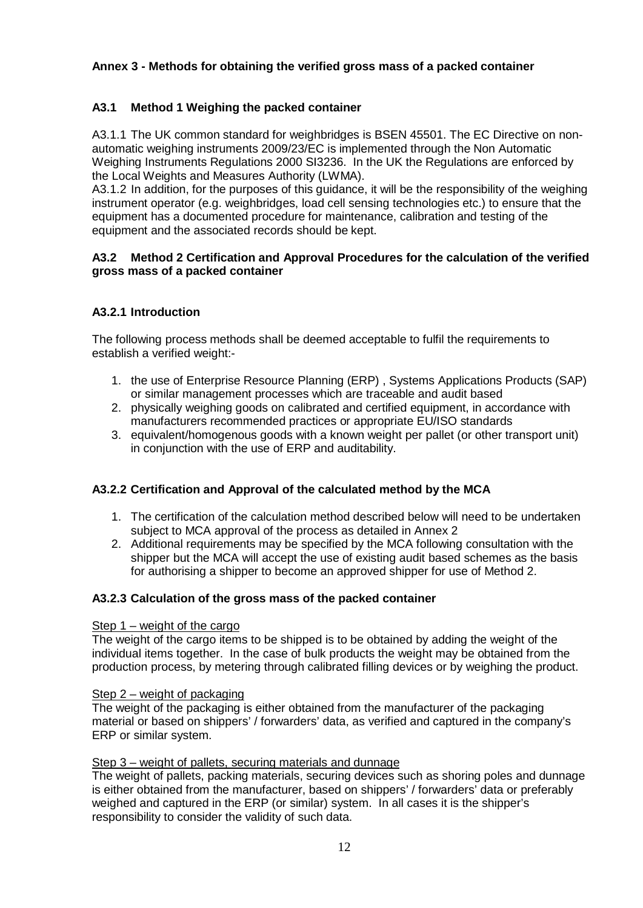# **Annex 3 - Methods for obtaining the verified gross mass of a packed container**

# **A3.1 Method 1 Weighing the packed container**

A3.1.1 The UK common standard for weighbridges is BSEN 45501. The EC Directive on nonautomatic weighing instruments 2009/23/EC is implemented through the Non Automatic Weighing Instruments Regulations 2000 SI3236. In the UK the Regulations are enforced by the Local Weights and Measures Authority (LWMA).

A3.1.2 In addition, for the purposes of this guidance, it will be the responsibility of the weighing instrument operator (e.g. weighbridges, load cell sensing technologies etc.) to ensure that the equipment has a documented procedure for maintenance, calibration and testing of the equipment and the associated records should be kept.

#### **A3.2 Method 2 Certification and Approval Procedures for the calculation of the verified gross mass of a packed container**

# **A3.2.1 Introduction**

The following process methods shall be deemed acceptable to fulfil the requirements to establish a verified weight:-

- 1. the use of Enterprise Resource Planning (ERP) , Systems Applications Products (SAP) or similar management processes which are traceable and audit based
- 2. physically weighing goods on calibrated and certified equipment, in accordance with manufacturers recommended practices or appropriate EU/ISO standards
- 3. equivalent/homogenous goods with a known weight per pallet (or other transport unit) in conjunction with the use of ERP and auditability.

# **A3.2.2 Certification and Approval of the calculated method by the MCA**

- 1. The certification of the calculation method described below will need to be undertaken subject to MCA approval of the process as detailed in Annex 2
- 2. Additional requirements may be specified by the MCA following consultation with the shipper but the MCA will accept the use of existing audit based schemes as the basis for authorising a shipper to become an approved shipper for use of Method 2.

#### **A3.2.3 Calculation of the gross mass of the packed container**

#### Step 1 – weight of the cargo

The weight of the cargo items to be shipped is to be obtained by adding the weight of the individual items together. In the case of bulk products the weight may be obtained from the production process, by metering through calibrated filling devices or by weighing the product.

#### Step 2 – weight of packaging

 material or based on shippers' / forwarders' data, as verified and captured in the company's The weight of the packaging is either obtained from the manufacturer of the packaging ERP or similar system.

#### Step 3 – weight of pallets, securing materials and dunnage

The weight of pallets, packing materials, securing devices such as shoring poles and dunnage is either obtained from the manufacturer, based on shippers' / forwarders' data or preferably weighed and captured in the ERP (or similar) system. In all cases it is the shipper's responsibility to consider the validity of such data.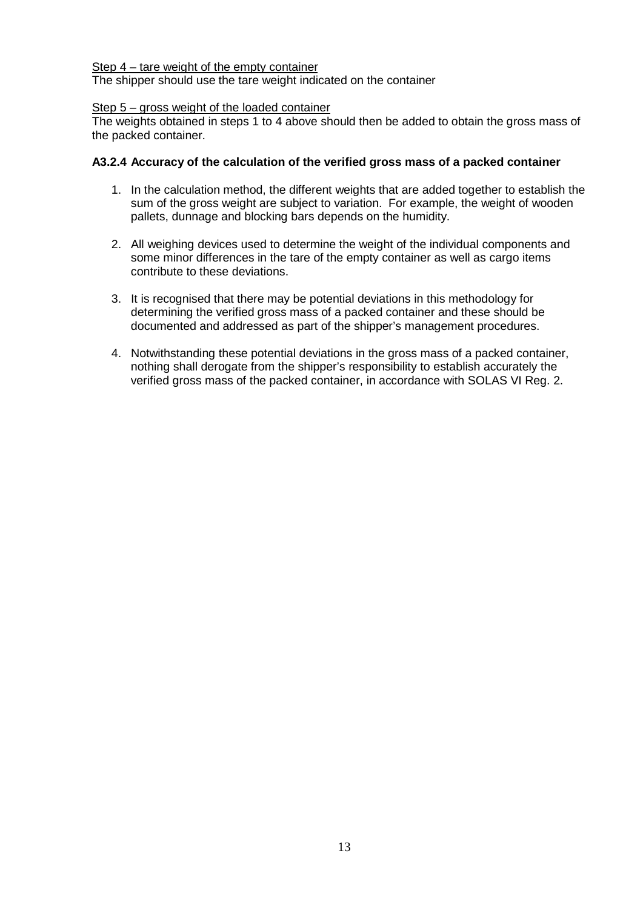#### Step 4 – tare weight of the empty container

The shipper should use the tare weight indicated on the container

#### Step 5 – gross weight of the loaded container

The weights obtained in steps 1 to 4 above should then be added to obtain the gross mass of the packed container.

#### **A3.2.4 Accuracy of the calculation of the verified gross mass of a packed container**

- 1. In the calculation method, the different weights that are added together to establish the sum of the gross weight are subject to variation. For example, the weight of wooden pallets, dunnage and blocking bars depends on the humidity.
- 2. All weighing devices used to determine the weight of the individual components and some minor differences in the tare of the empty container as well as cargo items contribute to these deviations.
- 3. It is recognised that there may be potential deviations in this methodology for determining the verified gross mass of a packed container and these should be documented and addressed as part of the shipper's management procedures.
- 4. Notwithstanding these potential deviations in the gross mass of a packed container, nothing shall derogate from the shipper's responsibility to establish accurately the verified gross mass of the packed container, in accordance with SOLAS VI Reg. 2.